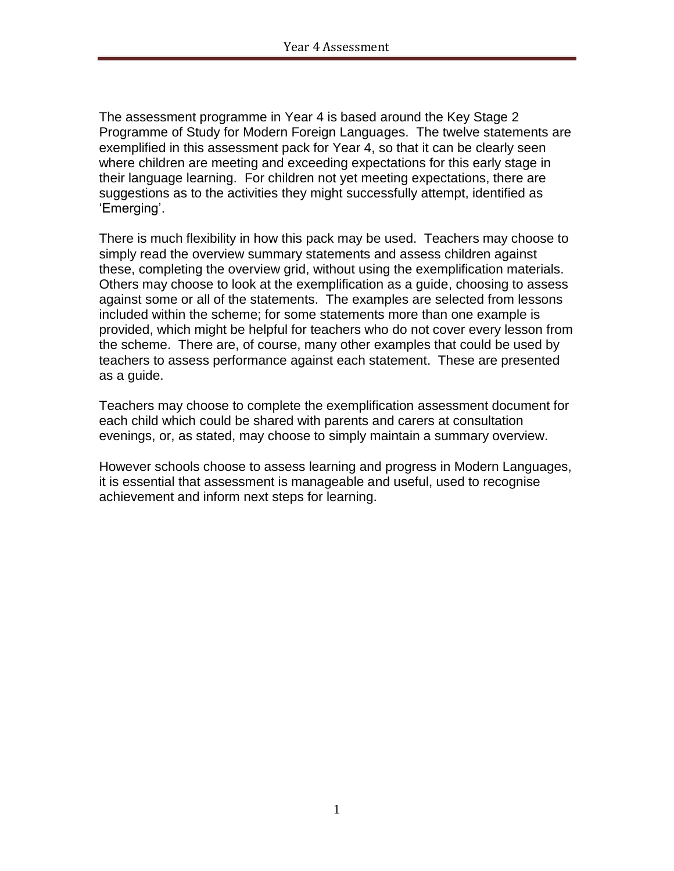The assessment programme in Year 4 is based around the Key Stage 2 Programme of Study for Modern Foreign Languages. The twelve statements are exemplified in this assessment pack for Year 4, so that it can be clearly seen where children are meeting and exceeding expectations for this early stage in their language learning. For children not yet meeting expectations, there are suggestions as to the activities they might successfully attempt, identified as 'Emerging'.

There is much flexibility in how this pack may be used. Teachers may choose to simply read the overview summary statements and assess children against these, completing the overview grid, without using the exemplification materials. Others may choose to look at the exemplification as a guide, choosing to assess against some or all of the statements. The examples are selected from lessons included within the scheme; for some statements more than one example is provided, which might be helpful for teachers who do not cover every lesson from the scheme. There are, of course, many other examples that could be used by teachers to assess performance against each statement. These are presented as a guide.

Teachers may choose to complete the exemplification assessment document for each child which could be shared with parents and carers at consultation evenings, or, as stated, may choose to simply maintain a summary overview.

However schools choose to assess learning and progress in Modern Languages, it is essential that assessment is manageable and useful, used to recognise achievement and inform next steps for learning.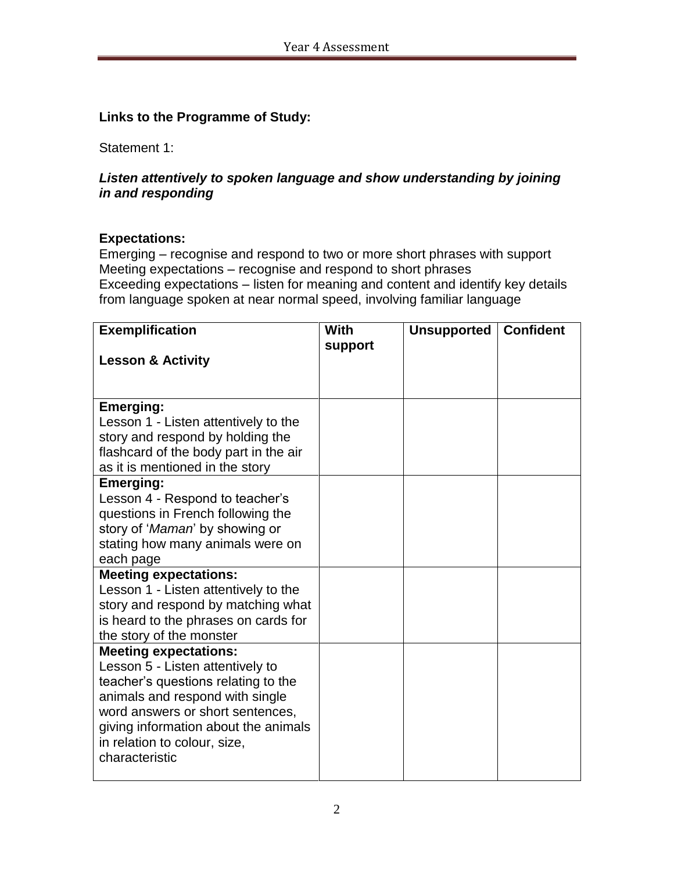# **Links to the Programme of Study:**

Statement 1:

# *Listen attentively to spoken language and show understanding by joining in and responding*

### **Expectations:**

Emerging – recognise and respond to two or more short phrases with support Meeting expectations – recognise and respond to short phrases Exceeding expectations – listen for meaning and content and identify key details from language spoken at near normal speed, involving familiar language

| <b>Exemplification</b>                                           | <b>With</b> | Unsupported | <b>Confident</b> |
|------------------------------------------------------------------|-------------|-------------|------------------|
|                                                                  | support     |             |                  |
| <b>Lesson &amp; Activity</b>                                     |             |             |                  |
|                                                                  |             |             |                  |
| Emerging:                                                        |             |             |                  |
| Lesson 1 - Listen attentively to the                             |             |             |                  |
| story and respond by holding the                                 |             |             |                  |
| flashcard of the body part in the air                            |             |             |                  |
| as it is mentioned in the story                                  |             |             |                  |
| <b>Emerging:</b>                                                 |             |             |                  |
| Lesson 4 - Respond to teacher's                                  |             |             |                  |
| questions in French following the                                |             |             |                  |
| story of 'Maman' by showing or                                   |             |             |                  |
| stating how many animals were on                                 |             |             |                  |
| each page                                                        |             |             |                  |
| <b>Meeting expectations:</b>                                     |             |             |                  |
| Lesson 1 - Listen attentively to the                             |             |             |                  |
| story and respond by matching what                               |             |             |                  |
| is heard to the phrases on cards for                             |             |             |                  |
| the story of the monster                                         |             |             |                  |
| <b>Meeting expectations:</b><br>Lesson 5 - Listen attentively to |             |             |                  |
| teacher's questions relating to the                              |             |             |                  |
| animals and respond with single                                  |             |             |                  |
| word answers or short sentences,                                 |             |             |                  |
| giving information about the animals                             |             |             |                  |
| in relation to colour, size,                                     |             |             |                  |
| characteristic                                                   |             |             |                  |
|                                                                  |             |             |                  |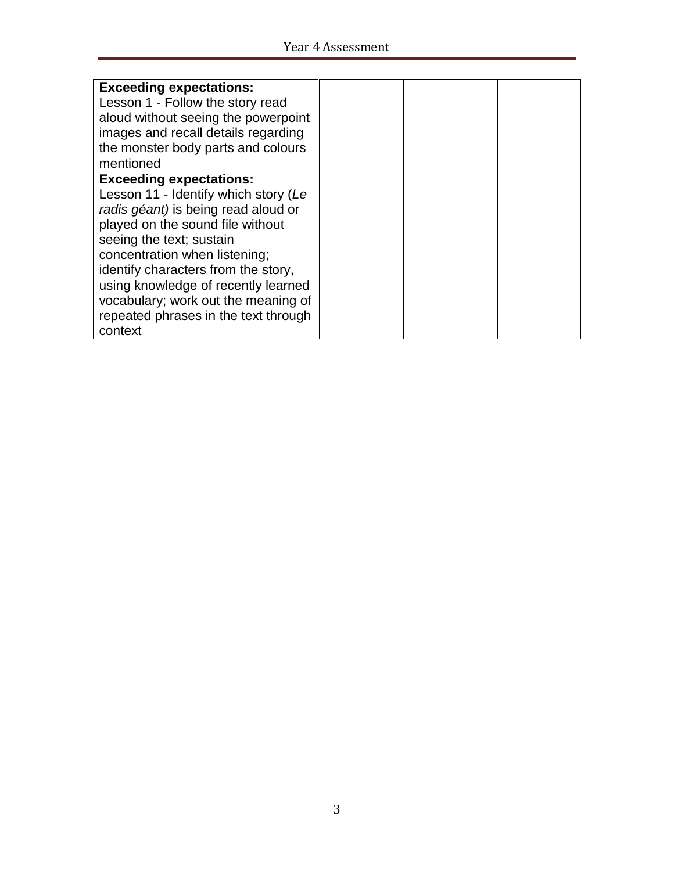| <b>Exceeding expectations:</b>       |  |  |
|--------------------------------------|--|--|
| Lesson 1 - Follow the story read     |  |  |
| aloud without seeing the powerpoint  |  |  |
| images and recall details regarding  |  |  |
| the monster body parts and colours   |  |  |
| mentioned                            |  |  |
| <b>Exceeding expectations:</b>       |  |  |
| Lesson 11 - Identify which story (Le |  |  |
| radis géant) is being read aloud or  |  |  |
| played on the sound file without     |  |  |
| seeing the text; sustain             |  |  |
| concentration when listening;        |  |  |
| identify characters from the story,  |  |  |
| using knowledge of recently learned  |  |  |
| vocabulary; work out the meaning of  |  |  |
| repeated phrases in the text through |  |  |
| context                              |  |  |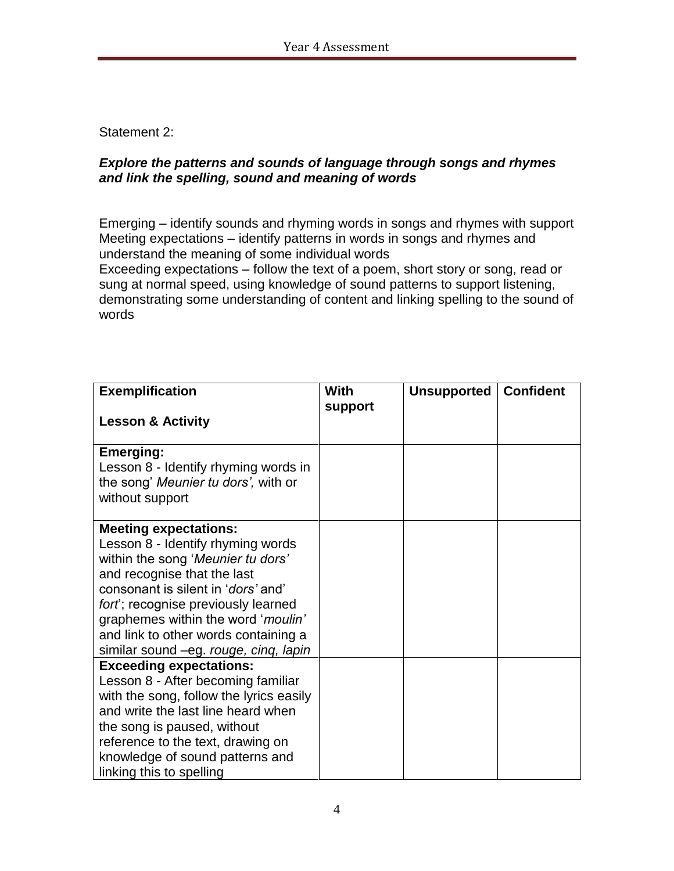Statement 2:

### *Explore the patterns and sounds of language through songs and rhymes and link the spelling, sound and meaning of words*

Emerging – identify sounds and rhyming words in songs and rhymes with support Meeting expectations – identify patterns in words in songs and rhymes and understand the meaning of some individual words

Exceeding expectations – follow the text of a poem, short story or song, read or sung at normal speed, using knowledge of sound patterns to support listening, demonstrating some understanding of content and linking spelling to the sound of words

| <b>Exemplification</b>                                                                                                                                                                                                                                                                                                                           | With    | <b>Unsupported</b> | <b>Confident</b> |
|--------------------------------------------------------------------------------------------------------------------------------------------------------------------------------------------------------------------------------------------------------------------------------------------------------------------------------------------------|---------|--------------------|------------------|
| <b>Lesson &amp; Activity</b>                                                                                                                                                                                                                                                                                                                     | support |                    |                  |
| <b>Emerging:</b><br>Lesson 8 - Identify rhyming words in<br>the song' Meunier tu dors', with or<br>without support                                                                                                                                                                                                                               |         |                    |                  |
| <b>Meeting expectations:</b><br>Lesson 8 - Identify rhyming words<br>within the song 'Meunier tu dors'<br>and recognise that the last<br>consonant is silent in ' <i>dors'</i> and'<br>fort; recognise previously learned<br>graphemes within the word 'moulin'<br>and link to other words containing a<br>similar sound -eg. rouge, cinq, lapin |         |                    |                  |
| <b>Exceeding expectations:</b><br>Lesson 8 - After becoming familiar<br>with the song, follow the lyrics easily<br>and write the last line heard when<br>the song is paused, without<br>reference to the text, drawing on<br>knowledge of sound patterns and<br>linking this to spelling                                                         |         |                    |                  |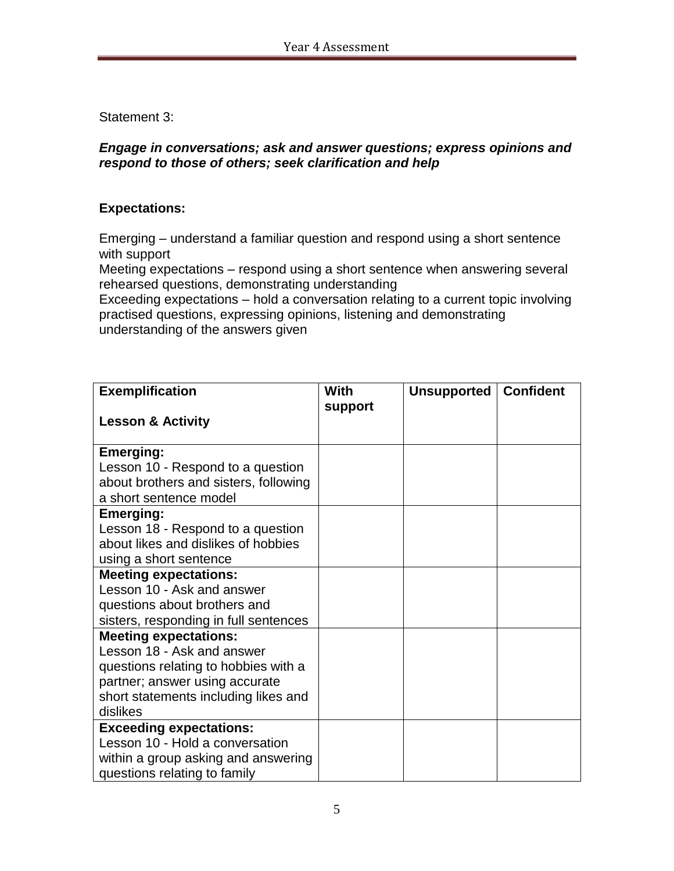Statement 3:

### *Engage in conversations; ask and answer questions; express opinions and respond to those of others; seek clarification and help*

# **Expectations:**

Emerging – understand a familiar question and respond using a short sentence with support

Meeting expectations – respond using a short sentence when answering several rehearsed questions, demonstrating understanding

Exceeding expectations – hold a conversation relating to a current topic involving practised questions, expressing opinions, listening and demonstrating understanding of the answers given

| <b>Exemplification</b>                                                     | <b>With</b> | Unsupported   Confident |  |
|----------------------------------------------------------------------------|-------------|-------------------------|--|
| <b>Lesson &amp; Activity</b>                                               | support     |                         |  |
| <b>Emerging:</b>                                                           |             |                         |  |
| Lesson 10 - Respond to a question<br>about brothers and sisters, following |             |                         |  |
| a short sentence model                                                     |             |                         |  |
| <b>Emerging:</b>                                                           |             |                         |  |
| Lesson 18 - Respond to a question                                          |             |                         |  |
| about likes and dislikes of hobbies                                        |             |                         |  |
| using a short sentence                                                     |             |                         |  |
| <b>Meeting expectations:</b>                                               |             |                         |  |
| Lesson 10 - Ask and answer                                                 |             |                         |  |
| questions about brothers and                                               |             |                         |  |
| sisters, responding in full sentences                                      |             |                         |  |
| <b>Meeting expectations:</b>                                               |             |                         |  |
| Lesson 18 - Ask and answer                                                 |             |                         |  |
| questions relating to hobbies with a                                       |             |                         |  |
| partner; answer using accurate                                             |             |                         |  |
| short statements including likes and                                       |             |                         |  |
| dislikes                                                                   |             |                         |  |
| <b>Exceeding expectations:</b>                                             |             |                         |  |
| Lesson 10 - Hold a conversation                                            |             |                         |  |
| within a group asking and answering                                        |             |                         |  |
| questions relating to family                                               |             |                         |  |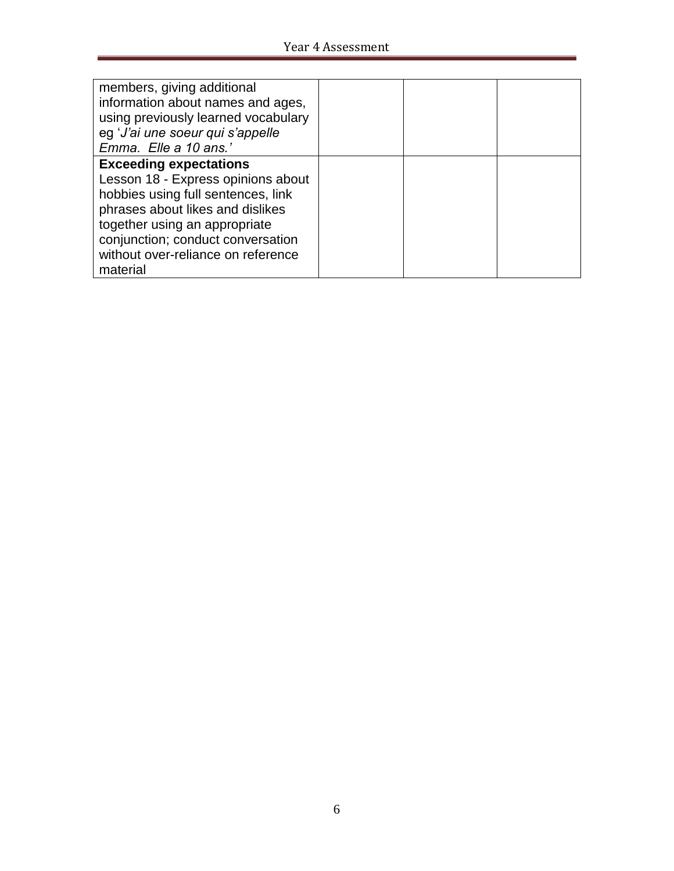| members, giving additional<br>information about names and ages,<br>using previously learned vocabulary<br>eg 'J'ai une soeur qui s'appelle<br>Emma. Elle a 10 ans.'                                                                                       |  |
|-----------------------------------------------------------------------------------------------------------------------------------------------------------------------------------------------------------------------------------------------------------|--|
| <b>Exceeding expectations</b><br>Lesson 18 - Express opinions about<br>hobbies using full sentences, link<br>phrases about likes and dislikes<br>together using an appropriate<br>conjunction; conduct conversation<br>without over-reliance on reference |  |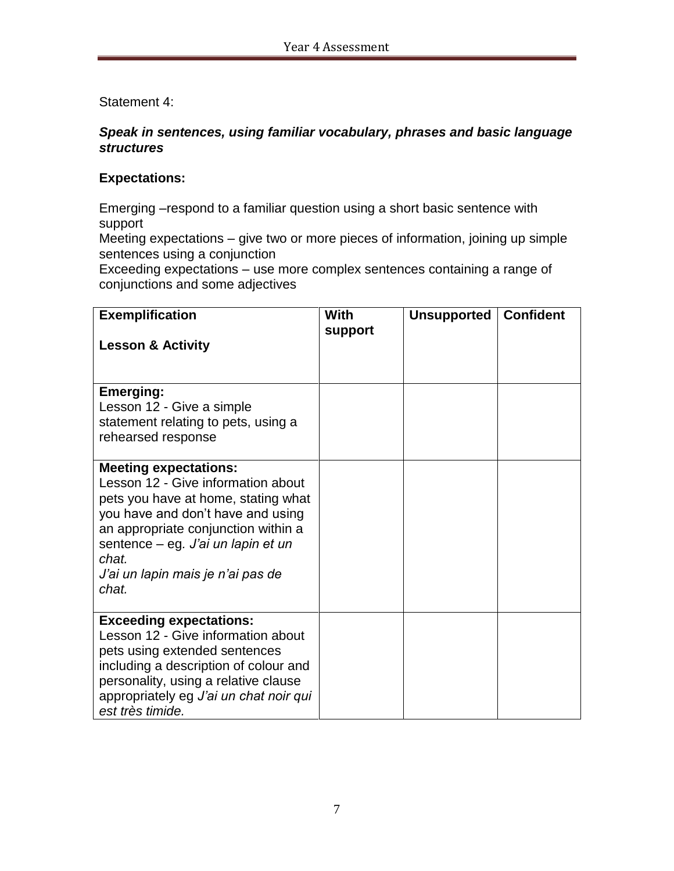Statement 4:

### *Speak in sentences, using familiar vocabulary, phrases and basic language structures*

### **Expectations:**

Emerging –respond to a familiar question using a short basic sentence with support

Meeting expectations – give two or more pieces of information, joining up simple sentences using a conjunction

Exceeding expectations – use more complex sentences containing a range of conjunctions and some adjectives

| <b>Exemplification</b><br><b>Lesson &amp; Activity</b>                                                                                                                                                                                                                             | With<br>support | <b>Unsupported</b> | <b>Confident</b> |
|------------------------------------------------------------------------------------------------------------------------------------------------------------------------------------------------------------------------------------------------------------------------------------|-----------------|--------------------|------------------|
| <b>Emerging:</b><br>Lesson 12 - Give a simple<br>statement relating to pets, using a<br>rehearsed response                                                                                                                                                                         |                 |                    |                  |
| <b>Meeting expectations:</b><br>Lesson 12 - Give information about<br>pets you have at home, stating what<br>you have and don't have and using<br>an appropriate conjunction within a<br>sentence – eg. J'ai un lapin et un<br>chat.<br>J'ai un lapin mais je n'ai pas de<br>chat. |                 |                    |                  |
| <b>Exceeding expectations:</b><br>Lesson 12 - Give information about<br>pets using extended sentences<br>including a description of colour and<br>personality, using a relative clause<br>appropriately eg J'ai un chat noir qui<br>est très timide.                               |                 |                    |                  |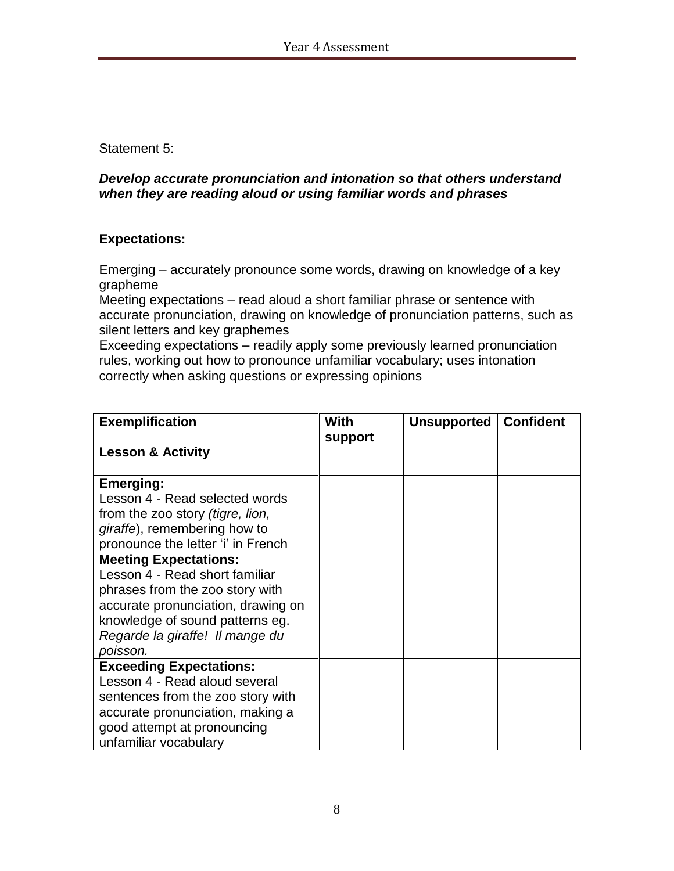Statement 5:

### *Develop accurate pronunciation and intonation so that others understand when they are reading aloud or using familiar words and phrases*

# **Expectations:**

Emerging – accurately pronounce some words, drawing on knowledge of a key grapheme

Meeting expectations – read aloud a short familiar phrase or sentence with accurate pronunciation, drawing on knowledge of pronunciation patterns, such as silent letters and key graphemes

Exceeding expectations – readily apply some previously learned pronunciation rules, working out how to pronounce unfamiliar vocabulary; uses intonation correctly when asking questions or expressing opinions

| <b>Exemplification</b>                                                | With    | <b>Unsupported</b> | <b>Confident</b> |
|-----------------------------------------------------------------------|---------|--------------------|------------------|
| <b>Lesson &amp; Activity</b>                                          | support |                    |                  |
| <b>Emerging:</b>                                                      |         |                    |                  |
| Lesson 4 - Read selected words                                        |         |                    |                  |
| from the zoo story <i>(tigre, lion,</i>                               |         |                    |                  |
| giraffe), remembering how to                                          |         |                    |                  |
| pronounce the letter 'i' in French                                    |         |                    |                  |
| <b>Meeting Expectations:</b>                                          |         |                    |                  |
| Lesson 4 - Read short familiar                                        |         |                    |                  |
| phrases from the zoo story with                                       |         |                    |                  |
| accurate pronunciation, drawing on                                    |         |                    |                  |
| knowledge of sound patterns eg.                                       |         |                    |                  |
| Regarde la giraffe! Il mange du                                       |         |                    |                  |
| poisson.                                                              |         |                    |                  |
| <b>Exceeding Expectations:</b><br>Lesson 4 - Read aloud several       |         |                    |                  |
|                                                                       |         |                    |                  |
| sentences from the zoo story with<br>accurate pronunciation, making a |         |                    |                  |
| good attempt at pronouncing                                           |         |                    |                  |
| unfamiliar vocabulary                                                 |         |                    |                  |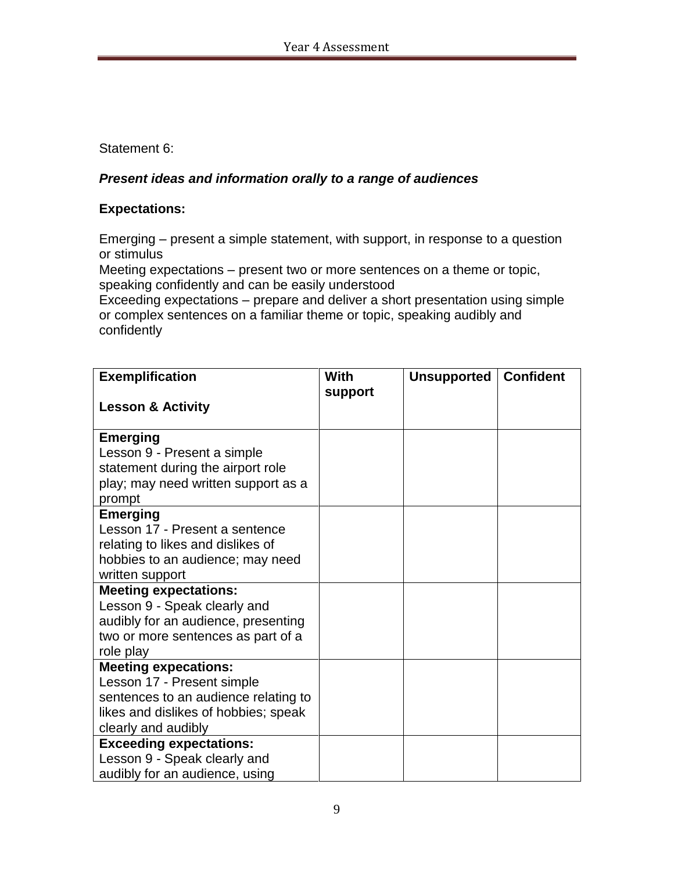Statement 6:

# *Present ideas and information orally to a range of audiences*

### **Expectations:**

Emerging – present a simple statement, with support, in response to a question or stimulus

Meeting expectations – present two or more sentences on a theme or topic, speaking confidently and can be easily understood

Exceeding expectations – prepare and deliver a short presentation using simple or complex sentences on a familiar theme or topic, speaking audibly and confidently

| <b>Exemplification</b>                                                                                                                                           | With    | Unsupported | <b>Confident</b> |
|------------------------------------------------------------------------------------------------------------------------------------------------------------------|---------|-------------|------------------|
| <b>Lesson &amp; Activity</b>                                                                                                                                     | support |             |                  |
| <b>Emerging</b><br>Lesson 9 - Present a simple<br>statement during the airport role<br>play; may need written support as a<br>prompt                             |         |             |                  |
| <b>Emerging</b><br>Lesson 17 - Present a sentence<br>relating to likes and dislikes of<br>hobbies to an audience; may need<br>written support                    |         |             |                  |
| <b>Meeting expectations:</b><br>Lesson 9 - Speak clearly and<br>audibly for an audience, presenting<br>two or more sentences as part of a<br>role play           |         |             |                  |
| <b>Meeting expecations:</b><br>Lesson 17 - Present simple<br>sentences to an audience relating to<br>likes and dislikes of hobbies; speak<br>clearly and audibly |         |             |                  |
| <b>Exceeding expectations:</b><br>Lesson 9 - Speak clearly and<br>audibly for an audience, using                                                                 |         |             |                  |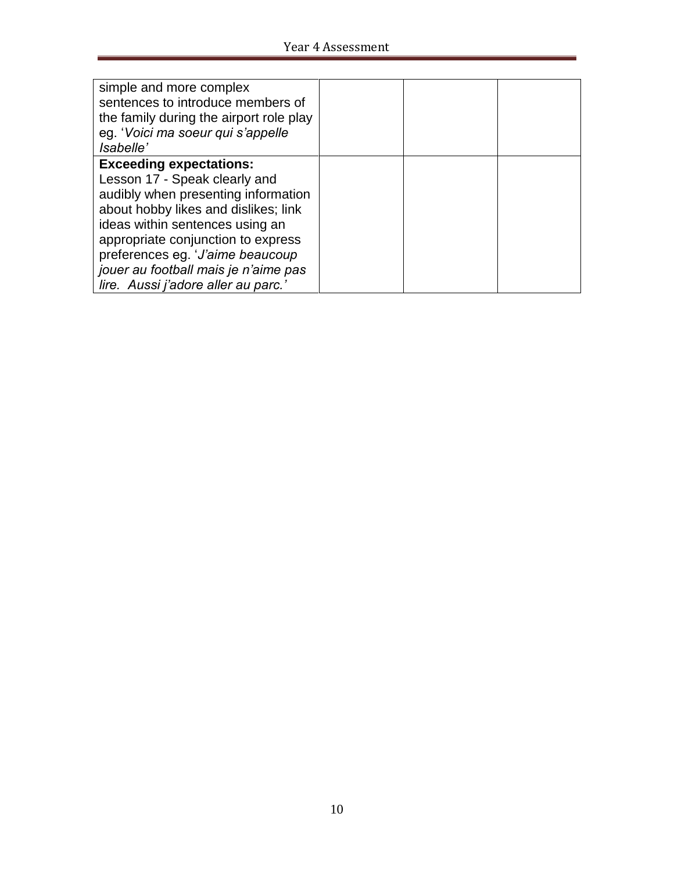| simple and more complex<br>sentences to introduce members of<br>the family during the airport role play<br>eg. 'Voici ma soeur qui s'appelle<br><i>Isabelle'</i> |  |  |
|------------------------------------------------------------------------------------------------------------------------------------------------------------------|--|--|
| <b>Exceeding expectations:</b>                                                                                                                                   |  |  |
| Lesson 17 - Speak clearly and                                                                                                                                    |  |  |
| audibly when presenting information                                                                                                                              |  |  |
| about hobby likes and dislikes; link                                                                                                                             |  |  |
| ideas within sentences using an                                                                                                                                  |  |  |
| appropriate conjunction to express                                                                                                                               |  |  |
| preferences eg. 'J'aime beaucoup                                                                                                                                 |  |  |
| jouer au football mais je n'aime pas                                                                                                                             |  |  |
| lire. Aussi j'adore aller au parc.                                                                                                                               |  |  |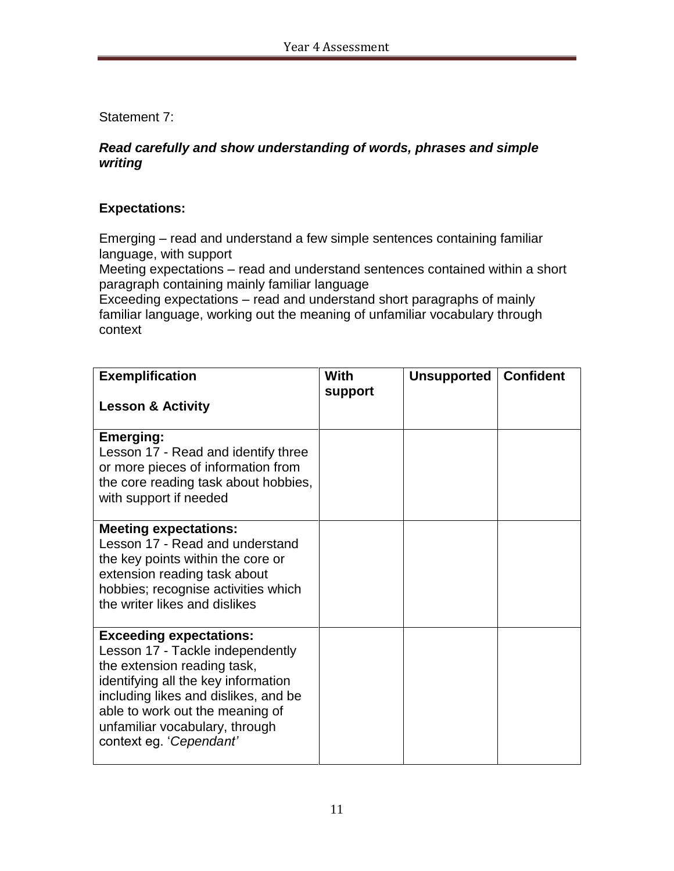Statement 7:

### *Read carefully and show understanding of words, phrases and simple writing*

# **Expectations:**

Emerging – read and understand a few simple sentences containing familiar language, with support

Meeting expectations – read and understand sentences contained within a short paragraph containing mainly familiar language

Exceeding expectations – read and understand short paragraphs of mainly familiar language, working out the meaning of unfamiliar vocabulary through context

| <b>Exemplification</b>                                                                                                                                                                                                                                                           | With<br>support | <b>Unsupported</b> | <b>Confident</b> |
|----------------------------------------------------------------------------------------------------------------------------------------------------------------------------------------------------------------------------------------------------------------------------------|-----------------|--------------------|------------------|
| <b>Lesson &amp; Activity</b>                                                                                                                                                                                                                                                     |                 |                    |                  |
| <b>Emerging:</b><br>Lesson 17 - Read and identify three<br>or more pieces of information from<br>the core reading task about hobbies,<br>with support if needed                                                                                                                  |                 |                    |                  |
| <b>Meeting expectations:</b><br>Lesson 17 - Read and understand<br>the key points within the core or<br>extension reading task about<br>hobbies; recognise activities which<br>the writer likes and dislikes                                                                     |                 |                    |                  |
| <b>Exceeding expectations:</b><br>Lesson 17 - Tackle independently<br>the extension reading task,<br>identifying all the key information<br>including likes and dislikes, and be<br>able to work out the meaning of<br>unfamiliar vocabulary, through<br>context eg. 'Cependant' |                 |                    |                  |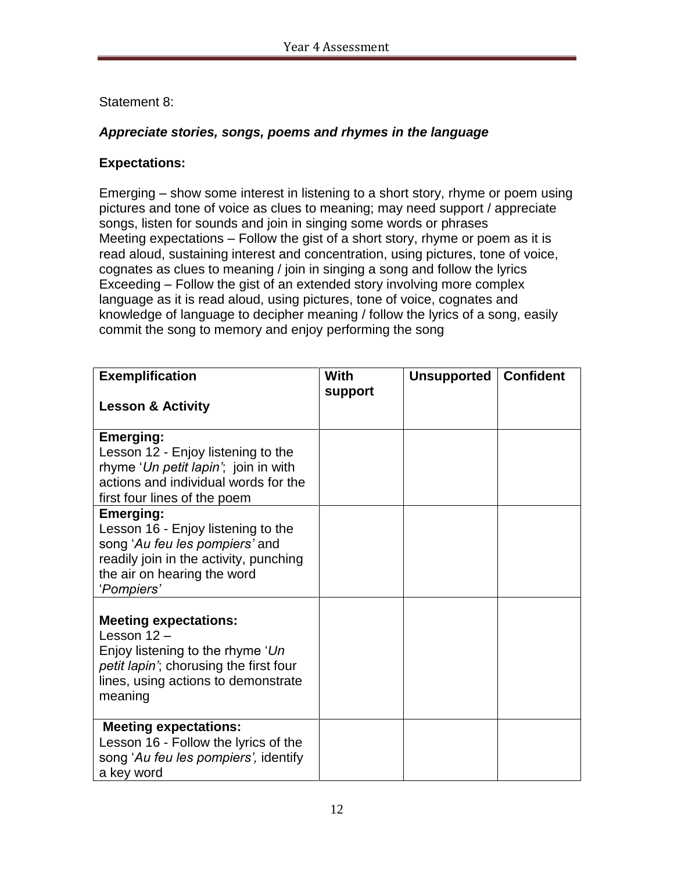### Statement 8:

### *Appreciate stories, songs, poems and rhymes in the language*

### **Expectations:**

Emerging – show some interest in listening to a short story, rhyme or poem using pictures and tone of voice as clues to meaning; may need support / appreciate songs, listen for sounds and join in singing some words or phrases Meeting expectations – Follow the gist of a short story, rhyme or poem as it is read aloud, sustaining interest and concentration, using pictures, tone of voice, cognates as clues to meaning / join in singing a song and follow the lyrics Exceeding – Follow the gist of an extended story involving more complex language as it is read aloud, using pictures, tone of voice, cognates and knowledge of language to decipher meaning / follow the lyrics of a song, easily commit the song to memory and enjoy performing the song

| <b>Exemplification</b>                                                                                                                                                          | With    | <b>Unsupported   Confident</b> |  |
|---------------------------------------------------------------------------------------------------------------------------------------------------------------------------------|---------|--------------------------------|--|
| <b>Lesson &amp; Activity</b>                                                                                                                                                    | support |                                |  |
| <b>Emerging:</b><br>Lesson 12 - Enjoy listening to the<br>rhyme 'Un petit lapin'; join in with<br>actions and individual words for the<br>first four lines of the poem          |         |                                |  |
| <b>Emerging:</b><br>Lesson 16 - Enjoy listening to the<br>song 'Au feu les pompiers' and<br>readily join in the activity, punching<br>the air on hearing the word<br>'Pompiers' |         |                                |  |
| <b>Meeting expectations:</b><br>Lesson $12 -$<br>Enjoy listening to the rhyme 'Un<br>petit lapin'; chorusing the first four<br>lines, using actions to demonstrate<br>meaning   |         |                                |  |
| <b>Meeting expectations:</b><br>Lesson 16 - Follow the lyrics of the<br>song 'Au feu les pompiers', identify<br>a key word                                                      |         |                                |  |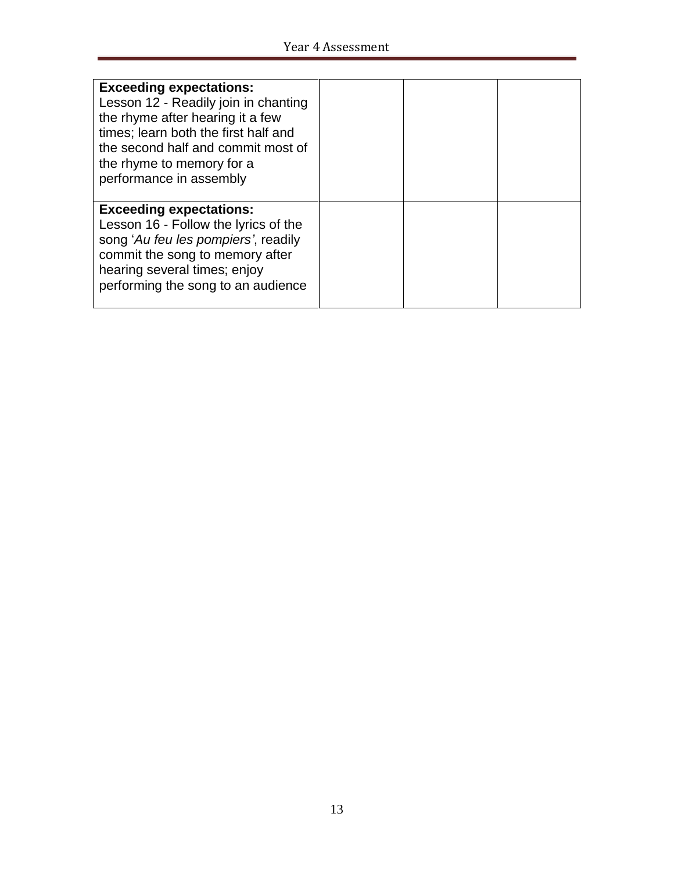| <b>Exceeding expectations:</b><br>Lesson 12 - Readily join in chanting<br>the rhyme after hearing it a few<br>times; learn both the first half and<br>the second half and commit most of<br>the rhyme to memory for a<br>performance in assembly |  |  |
|--------------------------------------------------------------------------------------------------------------------------------------------------------------------------------------------------------------------------------------------------|--|--|
| <b>Exceeding expectations:</b><br>Lesson 16 - Follow the lyrics of the<br>song 'Au feu les pompiers', readily<br>commit the song to memory after<br>hearing several times; enjoy<br>performing the song to an audience                           |  |  |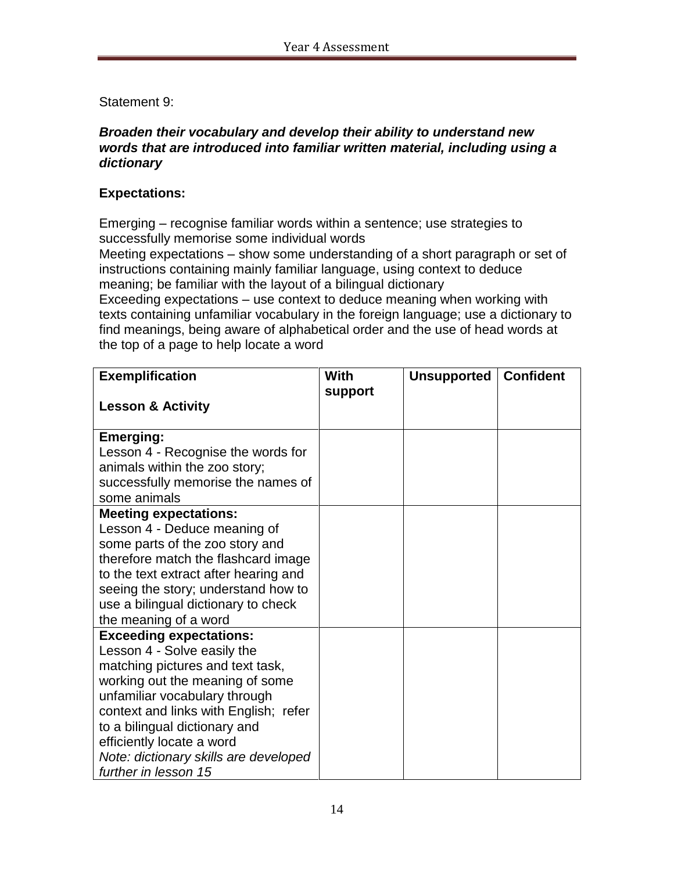### Statement 9:

#### *Broaden their vocabulary and develop their ability to understand new words that are introduced into familiar written material, including using a dictionary*

### **Expectations:**

Emerging – recognise familiar words within a sentence; use strategies to successfully memorise some individual words

Meeting expectations – show some understanding of a short paragraph or set of instructions containing mainly familiar language, using context to deduce meaning; be familiar with the layout of a bilingual dictionary

Exceeding expectations – use context to deduce meaning when working with texts containing unfamiliar vocabulary in the foreign language; use a dictionary to find meanings, being aware of alphabetical order and the use of head words at the top of a page to help locate a word

| <b>Exemplification</b>                                                                                                                                                                                                                                                                                                                                                                                                                                                                                                                                                                                                                                                                                                                                               | With    | Unsupported | <b>Confident</b> |
|----------------------------------------------------------------------------------------------------------------------------------------------------------------------------------------------------------------------------------------------------------------------------------------------------------------------------------------------------------------------------------------------------------------------------------------------------------------------------------------------------------------------------------------------------------------------------------------------------------------------------------------------------------------------------------------------------------------------------------------------------------------------|---------|-------------|------------------|
|                                                                                                                                                                                                                                                                                                                                                                                                                                                                                                                                                                                                                                                                                                                                                                      | support |             |                  |
| <b>Lesson &amp; Activity</b>                                                                                                                                                                                                                                                                                                                                                                                                                                                                                                                                                                                                                                                                                                                                         |         |             |                  |
|                                                                                                                                                                                                                                                                                                                                                                                                                                                                                                                                                                                                                                                                                                                                                                      |         |             |                  |
| <b>Emerging:</b>                                                                                                                                                                                                                                                                                                                                                                                                                                                                                                                                                                                                                                                                                                                                                     |         |             |                  |
|                                                                                                                                                                                                                                                                                                                                                                                                                                                                                                                                                                                                                                                                                                                                                                      |         |             |                  |
|                                                                                                                                                                                                                                                                                                                                                                                                                                                                                                                                                                                                                                                                                                                                                                      |         |             |                  |
|                                                                                                                                                                                                                                                                                                                                                                                                                                                                                                                                                                                                                                                                                                                                                                      |         |             |                  |
|                                                                                                                                                                                                                                                                                                                                                                                                                                                                                                                                                                                                                                                                                                                                                                      |         |             |                  |
|                                                                                                                                                                                                                                                                                                                                                                                                                                                                                                                                                                                                                                                                                                                                                                      |         |             |                  |
|                                                                                                                                                                                                                                                                                                                                                                                                                                                                                                                                                                                                                                                                                                                                                                      |         |             |                  |
|                                                                                                                                                                                                                                                                                                                                                                                                                                                                                                                                                                                                                                                                                                                                                                      |         |             |                  |
|                                                                                                                                                                                                                                                                                                                                                                                                                                                                                                                                                                                                                                                                                                                                                                      |         |             |                  |
|                                                                                                                                                                                                                                                                                                                                                                                                                                                                                                                                                                                                                                                                                                                                                                      |         |             |                  |
|                                                                                                                                                                                                                                                                                                                                                                                                                                                                                                                                                                                                                                                                                                                                                                      |         |             |                  |
|                                                                                                                                                                                                                                                                                                                                                                                                                                                                                                                                                                                                                                                                                                                                                                      |         |             |                  |
|                                                                                                                                                                                                                                                                                                                                                                                                                                                                                                                                                                                                                                                                                                                                                                      |         |             |                  |
|                                                                                                                                                                                                                                                                                                                                                                                                                                                                                                                                                                                                                                                                                                                                                                      |         |             |                  |
|                                                                                                                                                                                                                                                                                                                                                                                                                                                                                                                                                                                                                                                                                                                                                                      |         |             |                  |
|                                                                                                                                                                                                                                                                                                                                                                                                                                                                                                                                                                                                                                                                                                                                                                      |         |             |                  |
|                                                                                                                                                                                                                                                                                                                                                                                                                                                                                                                                                                                                                                                                                                                                                                      |         |             |                  |
|                                                                                                                                                                                                                                                                                                                                                                                                                                                                                                                                                                                                                                                                                                                                                                      |         |             |                  |
|                                                                                                                                                                                                                                                                                                                                                                                                                                                                                                                                                                                                                                                                                                                                                                      |         |             |                  |
|                                                                                                                                                                                                                                                                                                                                                                                                                                                                                                                                                                                                                                                                                                                                                                      |         |             |                  |
|                                                                                                                                                                                                                                                                                                                                                                                                                                                                                                                                                                                                                                                                                                                                                                      |         |             |                  |
|                                                                                                                                                                                                                                                                                                                                                                                                                                                                                                                                                                                                                                                                                                                                                                      |         |             |                  |
| Lesson 4 - Recognise the words for<br>animals within the zoo story;<br>successfully memorise the names of<br>some animals<br><b>Meeting expectations:</b><br>Lesson 4 - Deduce meaning of<br>some parts of the zoo story and<br>therefore match the flashcard image<br>to the text extract after hearing and<br>seeing the story; understand how to<br>use a bilingual dictionary to check<br>the meaning of a word<br><b>Exceeding expectations:</b><br>Lesson 4 - Solve easily the<br>matching pictures and text task,<br>working out the meaning of some<br>unfamiliar vocabulary through<br>context and links with English; refer<br>to a bilingual dictionary and<br>efficiently locate a word<br>Note: dictionary skills are developed<br>further in lesson 15 |         |             |                  |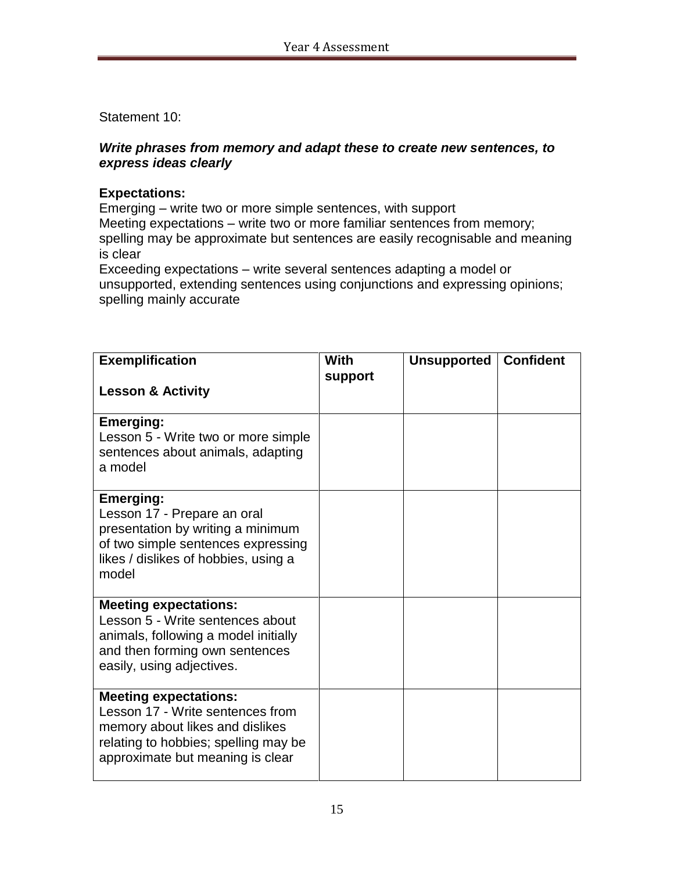Statement 10:

### *Write phrases from memory and adapt these to create new sentences, to express ideas clearly*

### **Expectations:**

Emerging – write two or more simple sentences, with support Meeting expectations – write two or more familiar sentences from memory; spelling may be approximate but sentences are easily recognisable and meaning is clear

Exceeding expectations – write several sentences adapting a model or unsupported, extending sentences using conjunctions and expressing opinions; spelling mainly accurate

| <b>Exemplification</b><br><b>Lesson &amp; Activity</b>                                                                                                                          | With<br>support | <b>Unsupported</b> | <b>Confident</b> |
|---------------------------------------------------------------------------------------------------------------------------------------------------------------------------------|-----------------|--------------------|------------------|
| <b>Emerging:</b><br>Lesson 5 - Write two or more simple<br>sentences about animals, adapting<br>a model                                                                         |                 |                    |                  |
| <b>Emerging:</b><br>Lesson 17 - Prepare an oral<br>presentation by writing a minimum<br>of two simple sentences expressing<br>likes / dislikes of hobbies, using a<br>model     |                 |                    |                  |
| <b>Meeting expectations:</b><br>Lesson 5 - Write sentences about<br>animals, following a model initially<br>and then forming own sentences<br>easily, using adjectives.         |                 |                    |                  |
| <b>Meeting expectations:</b><br>Lesson 17 - Write sentences from<br>memory about likes and dislikes<br>relating to hobbies; spelling may be<br>approximate but meaning is clear |                 |                    |                  |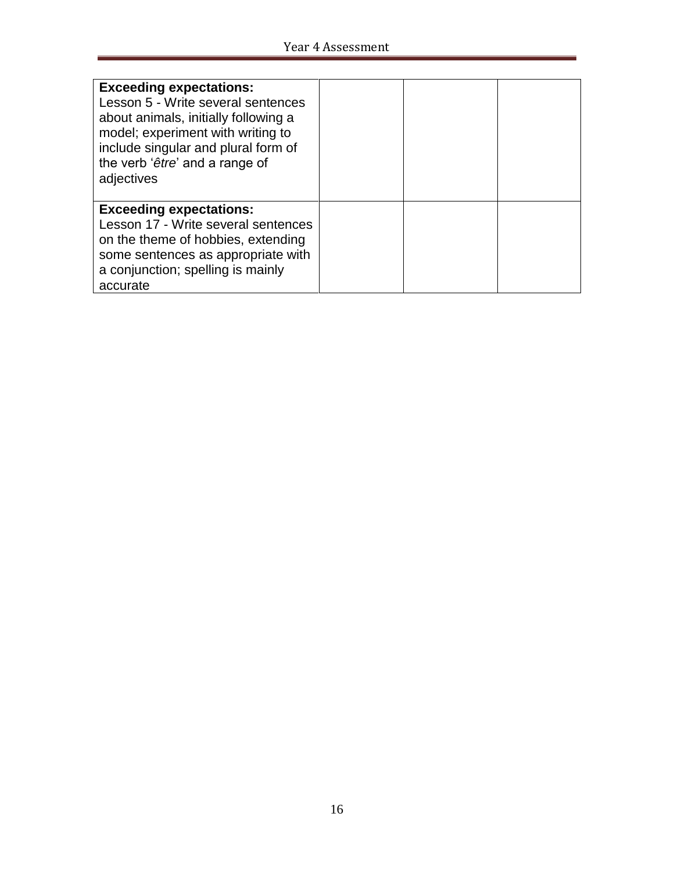| <b>Exceeding expectations:</b><br>Lesson 5 - Write several sentences<br>about animals, initially following a<br>model; experiment with writing to<br>include singular and plural form of<br>the verb 'être' and a range of<br>adjectives |  |  |
|------------------------------------------------------------------------------------------------------------------------------------------------------------------------------------------------------------------------------------------|--|--|
| <b>Exceeding expectations:</b><br>Lesson 17 - Write several sentences<br>on the theme of hobbies, extending<br>some sentences as appropriate with<br>a conjunction; spelling is mainly<br>accurate                                       |  |  |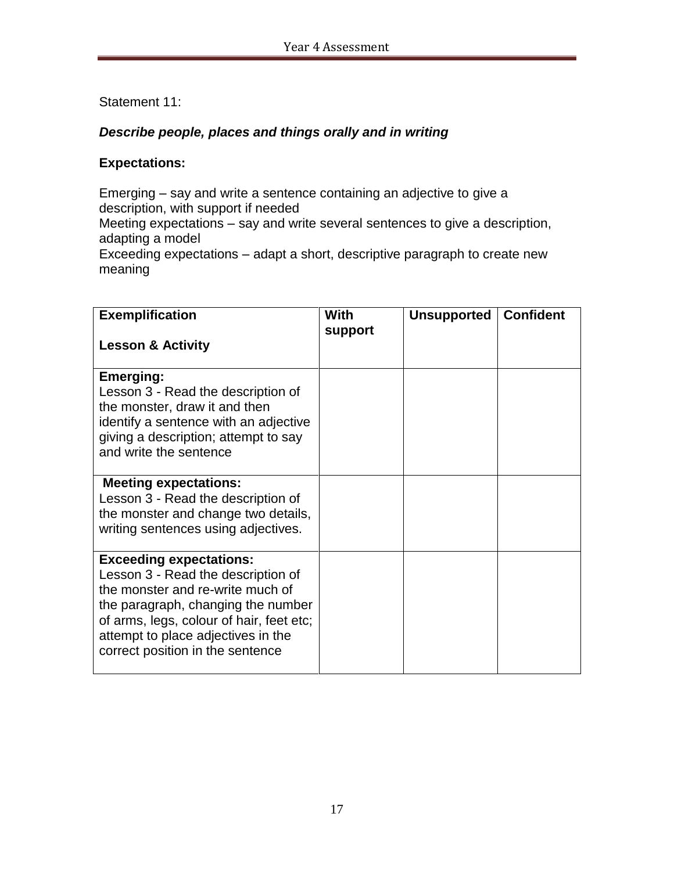### Statement 11:

### *Describe people, places and things orally and in writing*

#### **Expectations:**

Emerging – say and write a sentence containing an adjective to give a description, with support if needed Meeting expectations – say and write several sentences to give a description, adapting a model Exceeding expectations – adapt a short, descriptive paragraph to create new meaning

| <b>Exemplification</b>                                                                                                                                                                                                                                               | With    | <b>Unsupported</b> | <b>Confident</b> |
|----------------------------------------------------------------------------------------------------------------------------------------------------------------------------------------------------------------------------------------------------------------------|---------|--------------------|------------------|
| <b>Lesson &amp; Activity</b>                                                                                                                                                                                                                                         | support |                    |                  |
| <b>Emerging:</b><br>Lesson 3 - Read the description of<br>the monster, draw it and then<br>identify a sentence with an adjective<br>giving a description; attempt to say<br>and write the sentence                                                                   |         |                    |                  |
| <b>Meeting expectations:</b><br>Lesson 3 - Read the description of<br>the monster and change two details,<br>writing sentences using adjectives.                                                                                                                     |         |                    |                  |
| <b>Exceeding expectations:</b><br>Lesson 3 - Read the description of<br>the monster and re-write much of<br>the paragraph, changing the number<br>of arms, legs, colour of hair, feet etc;<br>attempt to place adjectives in the<br>correct position in the sentence |         |                    |                  |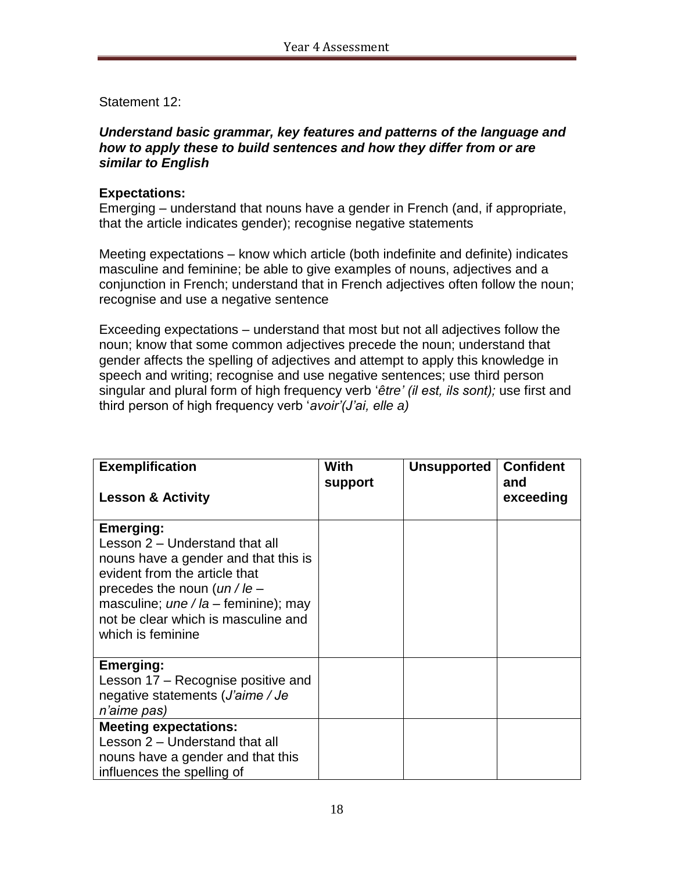Statement 12:

### *Understand basic grammar, key features and patterns of the language and how to apply these to build sentences and how they differ from or are similar to English*

### **Expectations:**

Emerging – understand that nouns have a gender in French (and, if appropriate, that the article indicates gender); recognise negative statements

Meeting expectations – know which article (both indefinite and definite) indicates masculine and feminine; be able to give examples of nouns, adjectives and a conjunction in French; understand that in French adjectives often follow the noun; recognise and use a negative sentence

Exceeding expectations – understand that most but not all adjectives follow the noun; know that some common adjectives precede the noun; understand that gender affects the spelling of adjectives and attempt to apply this knowledge in speech and writing; recognise and use negative sentences; use third person singular and plural form of high frequency verb '*être' (il est, ils sont);* use first and third person of high frequency verb '*avoir'(J'ai, elle a)*

| <b>Exemplification</b><br><b>Lesson &amp; Activity</b>                                                                                                                                                                                                     | With<br>support | <b>Unsupported</b> | <b>Confident</b><br>and<br>exceeding |
|------------------------------------------------------------------------------------------------------------------------------------------------------------------------------------------------------------------------------------------------------------|-----------------|--------------------|--------------------------------------|
| Emerging:<br>Lesson 2 – Understand that all<br>nouns have a gender and that this is<br>evident from the article that<br>precedes the noun $(un / le -$<br>masculine; $une/la$ – feminine); may<br>not be clear which is masculine and<br>which is feminine |                 |                    |                                      |
| <b>Emerging:</b><br>Lesson 17 – Recognise positive and<br>negative statements (J'aime / Je<br>n'aime pas)                                                                                                                                                  |                 |                    |                                      |
| <b>Meeting expectations:</b><br>Lesson 2 – Understand that all<br>nouns have a gender and that this<br>influences the spelling of                                                                                                                          |                 |                    |                                      |